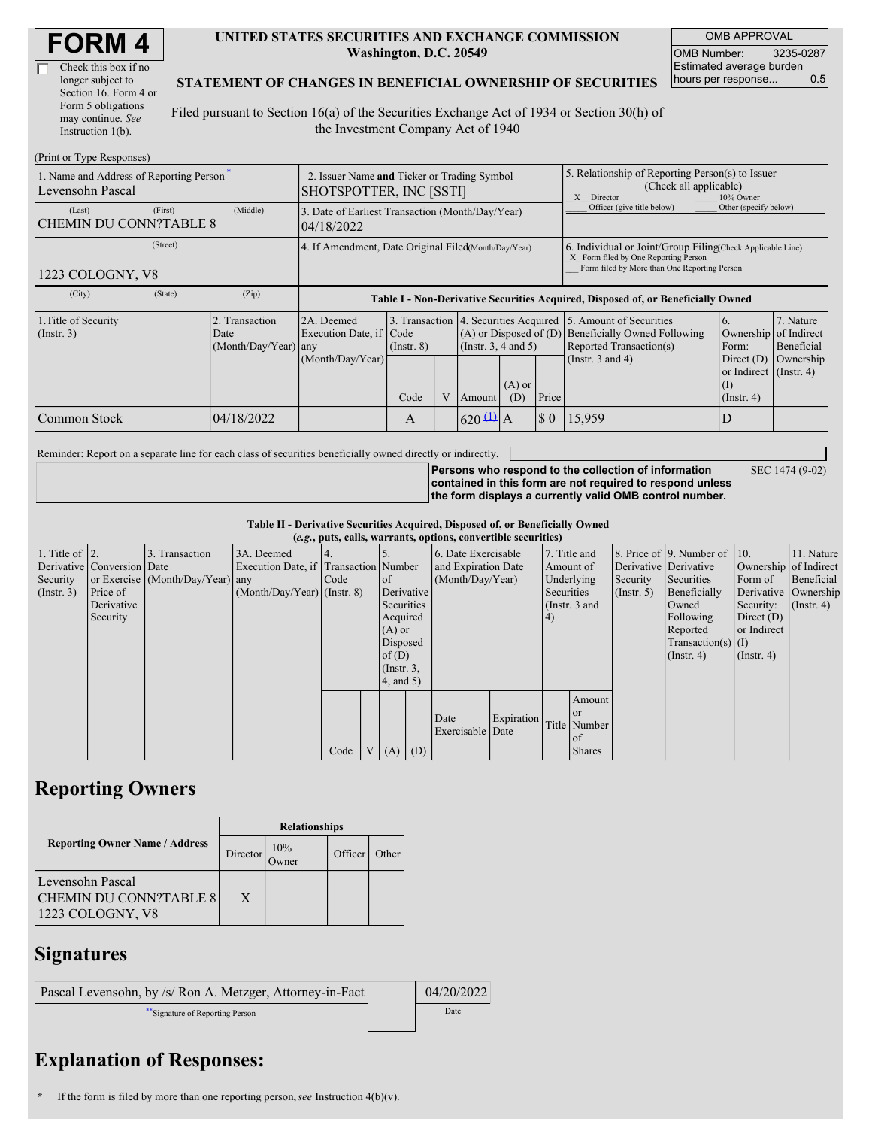| <b>FORM4</b> |
|--------------|
|--------------|

| Check this box if no  |  |
|-----------------------|--|
| longer subject to     |  |
| Section 16. Form 4 or |  |
| Form 5 obligations    |  |
| may continue. See     |  |
| Instruction 1(b).     |  |

#### **UNITED STATES SECURITIES AND EXCHANGE COMMISSION Washington, D.C. 20549**

OMB APPROVAL OMB Number: 3235-0287 Estimated average burden hours per response... 0.5

#### **STATEMENT OF CHANGES IN BENEFICIAL OWNERSHIP OF SECURITIES**

Filed pursuant to Section 16(a) of the Securities Exchange Act of 1934 or Section 30(h) of the Investment Company Act of 1940

| (Print or Type Responses)                                    |                                                                        |                                                                                  |                 |  |                        |                 |                                                                                                                                                    |                                                                                                                                                 |                                                                         |                         |
|--------------------------------------------------------------|------------------------------------------------------------------------|----------------------------------------------------------------------------------|-----------------|--|------------------------|-----------------|----------------------------------------------------------------------------------------------------------------------------------------------------|-------------------------------------------------------------------------------------------------------------------------------------------------|-------------------------------------------------------------------------|-------------------------|
| 1. Name and Address of Reporting Person-<br>Levensohn Pascal | 2. Issuer Name and Ticker or Trading Symbol<br>SHOTSPOTTER, INC [SSTI] |                                                                                  |                 |  |                        |                 | 5. Relationship of Reporting Person(s) to Issuer<br>(Check all applicable)<br>10% Owner<br>X Director                                              |                                                                                                                                                 |                                                                         |                         |
| (First)<br>(Last)<br><b>CHEMIN DU CONN?TABLE 8</b>           | (Middle)                                                               | 3. Date of Earliest Transaction (Month/Day/Year)<br>04/18/2022                   |                 |  |                        |                 |                                                                                                                                                    | Officer (give title below)                                                                                                                      | Other (specify below)                                                   |                         |
| (Street)<br>1223 COLOGNY, V8                                 | 4. If Amendment, Date Original Filed (Month/Day/Year)                  |                                                                                  |                 |  |                        |                 | 6. Individual or Joint/Group Filing Check Applicable Line)<br>X Form filed by One Reporting Person<br>Form filed by More than One Reporting Person |                                                                                                                                                 |                                                                         |                         |
| (City)<br>(State)                                            | (Zip)                                                                  | Table I - Non-Derivative Securities Acquired, Disposed of, or Beneficially Owned |                 |  |                        |                 |                                                                                                                                                    |                                                                                                                                                 |                                                                         |                         |
| 1. Title of Security<br>$($ Instr. 3 $)$                     | 2. Transaction<br>Date<br>$(Month/Day/Year)$ any                       | 2A. Deemed<br>Execution Date, if Code                                            | $($ Instr. $8)$ |  | (Insert. 3, 4 and 5)   |                 |                                                                                                                                                    | 3. Transaction 4. Securities Acquired 5. Amount of Securities<br>(A) or Disposed of (D) Beneficially Owned Following<br>Reported Transaction(s) | $\mathbf{b}$ .<br>Ownership of Indirect<br>Form:                        | 7. Nature<br>Beneficial |
|                                                              |                                                                        | (Month/Day/Year)                                                                 | Code            |  | Amount                 | $(A)$ or<br>(D) | Price                                                                                                                                              | (Instr. $3$ and $4$ )                                                                                                                           | Direct $(D)$<br>or Indirect $($ Instr. 4 $)$<br>(1)<br>$($ Instr. 4 $)$ | Ownership               |
| Common Stock                                                 | 04/18/2022                                                             |                                                                                  | A               |  | $620 \underline{11}$ A |                 | $\Omega$                                                                                                                                           | 15,959                                                                                                                                          |                                                                         |                         |

Reminder: Report on a separate line for each class of securities beneficially owned directly or indirectly.

**Persons who respond to the collection of information contained in this form are not required to respond unless the form displays a currently valid OMB control number.** SEC 1474 (9-02)

**Table II - Derivative Securities Acquired, Disposed of, or Beneficially Owned (***e.g.***, puts, calls, warrants, options, convertible securities)**

| $(c, g, \mu u, \alpha u)$ , variants, options, convertible securities) |                            |                                  |                                       |      |  |                 |                     |                     |            |            |                       |                  |                              |                  |                      |
|------------------------------------------------------------------------|----------------------------|----------------------------------|---------------------------------------|------|--|-----------------|---------------------|---------------------|------------|------------|-----------------------|------------------|------------------------------|------------------|----------------------|
| 1. Title of $\vert$ 2.                                                 |                            | 3. Transaction                   | 3A. Deemed                            |      |  |                 |                     | 6. Date Exercisable |            |            | 7. Title and          |                  | 8. Price of 9. Number of 10. |                  | 11. Nature           |
|                                                                        | Derivative Conversion Date |                                  | Execution Date, if Transaction Number |      |  |                 | and Expiration Date |                     |            | Amount of  | Derivative Derivative |                  | Ownership of Indirect        |                  |                      |
| Security                                                               |                            | or Exercise (Month/Day/Year) any |                                       | Code |  | of              |                     | (Month/Day/Year)    |            |            | Underlying            | Security         | Securities                   | Form of          | Beneficial           |
| (Insert. 3)                                                            | Price of                   |                                  | $(Month/Day/Year)$ (Instr. 8)         |      |  | Derivative      |                     |                     |            | Securities |                       | $($ Instr. 5 $)$ | Beneficially                 |                  | Derivative Ownership |
|                                                                        | Derivative                 |                                  |                                       |      |  | Securities      |                     |                     |            |            | (Instr. 3 and         |                  | Owned                        | Security:        | $($ Instr. 4)        |
|                                                                        | Security                   |                                  |                                       |      |  | Acquired        |                     |                     |            | 4)         |                       |                  | Following                    | Direct $(D)$     |                      |
|                                                                        |                            |                                  |                                       |      |  | $(A)$ or        |                     |                     |            |            |                       |                  | Reported                     | or Indirect      |                      |
|                                                                        |                            |                                  |                                       |      |  | Disposed        |                     |                     |            |            |                       |                  | $Transaction(s)$ (I)         |                  |                      |
|                                                                        |                            |                                  |                                       |      |  | of $(D)$        |                     |                     |            |            |                       |                  | $($ Instr. 4 $)$             | $($ Instr. 4 $)$ |                      |
|                                                                        |                            |                                  |                                       |      |  | $($ Instr. $3,$ |                     |                     |            |            |                       |                  |                              |                  |                      |
|                                                                        |                            |                                  |                                       |      |  | $4$ , and 5)    |                     |                     |            |            |                       |                  |                              |                  |                      |
|                                                                        |                            |                                  |                                       |      |  |                 |                     |                     |            |            | Amount                |                  |                              |                  |                      |
|                                                                        |                            |                                  |                                       |      |  |                 |                     |                     |            |            | <b>or</b>             |                  |                              |                  |                      |
|                                                                        |                            |                                  |                                       |      |  |                 |                     | Date                | Expiration |            | Title Number          |                  |                              |                  |                      |
|                                                                        |                            |                                  |                                       |      |  |                 |                     |                     |            |            |                       |                  |                              |                  |                      |
|                                                                        |                            |                                  |                                       |      |  |                 |                     |                     |            |            |                       |                  |                              |                  |                      |
|                                                                        |                            |                                  |                                       | Code |  | $V(A)$ (D)      |                     | Exercisable Date    |            |            | of<br><b>Shares</b>   |                  |                              |                  |                      |

## **Reporting Owners**

|                                                                       | <b>Relationships</b> |               |         |       |  |  |  |
|-----------------------------------------------------------------------|----------------------|---------------|---------|-------|--|--|--|
| <b>Reporting Owner Name / Address</b>                                 | Director             | 10%<br>Dwner) | Officer | Other |  |  |  |
| Levensohn Pascal<br><b>CHEMIN DU CONN?TABLE 8</b><br>1223 COLOGNY, V8 | X                    |               |         |       |  |  |  |

### **Signatures**

| Pascal Levensohn, by /s/ Ron A. Metzger, Attorney-in-Fact | 04/20/2022 |
|-----------------------------------------------------------|------------|
| **Signature of Reporting Person                           | Date       |

# **Explanation of Responses:**

**<sup>\*</sup>** If the form is filed by more than one reporting person,*see* Instruction 4(b)(v).